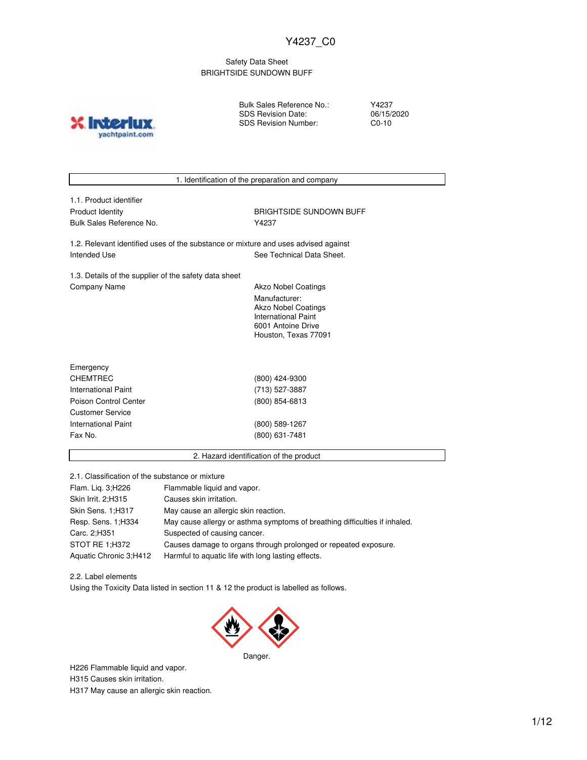## Safety Data Sheet BRIGHTSIDE SUNDOWN BUFF



Bulk Sales Reference No.: SDS Revision Date: SDS Revision Number:

Y4237 06/15/2020 C0-10

| 1.1. Product identifier                                                            |                                                  |  |
|------------------------------------------------------------------------------------|--------------------------------------------------|--|
| <b>Product Identity</b>                                                            | <b>BRIGHTSIDE SUNDOWN BUFF</b>                   |  |
| Bulk Sales Reference No.                                                           | Y4237                                            |  |
| 1.2. Relevant identified uses of the substance or mixture and uses advised against |                                                  |  |
| Intended Use                                                                       | See Technical Data Sheet.                        |  |
| 1.3. Details of the supplier of the safety data sheet                              |                                                  |  |
| <b>Company Name</b>                                                                | <b>Akzo Nobel Coatings</b>                       |  |
|                                                                                    | Manufacturer:                                    |  |
|                                                                                    | Akzo Nobel Coatings                              |  |
|                                                                                    | <b>International Paint</b><br>6001 Antoine Drive |  |
|                                                                                    | Houston, Texas 77091                             |  |
|                                                                                    |                                                  |  |
| Emergency                                                                          |                                                  |  |
| <b>CHEMTREC</b>                                                                    | (800) 424-9300                                   |  |
| <b>International Paint</b>                                                         | (713) 527-3887                                   |  |
| Poison Control Center                                                              | (800) 854-6813                                   |  |
| <b>Customer Service</b>                                                            |                                                  |  |
| <b>International Paint</b>                                                         | (800) 589-1267                                   |  |
| Fax No.                                                                            | (800) 631-7481                                   |  |
|                                                                                    | 2. Hazard identification of the product          |  |

| Flam. Lig. 3; H226     | Flammable liquid and vapor.                                                |
|------------------------|----------------------------------------------------------------------------|
| Skin Irrit. 2; H315    | Causes skin irritation.                                                    |
| Skin Sens. 1;H317      | May cause an allergic skin reaction.                                       |
| Resp. Sens. 1; H334    | May cause allergy or asthma symptoms of breathing difficulties if inhaled. |
| Carc. 2:H351           | Suspected of causing cancer.                                               |
| STOT RE 1;H372         | Causes damage to organs through prolonged or repeated exposure.            |
| Aquatic Chronic 3;H412 | Harmful to aquatic life with long lasting effects.                         |

2.2. Label elements Using the Toxicity Data listed in section 11 & 12 the product is labelled as follows.



Danger.

H226 Flammable liquid and vapor. H315 Causes skin irritation.

H317 May cause an allergic skin reaction.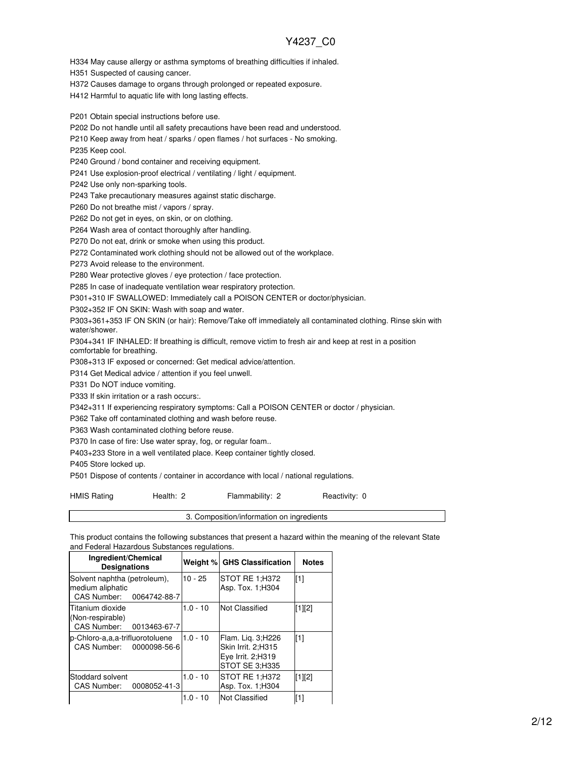H334 May cause allergy or asthma symptoms of breathing difficulties if inhaled.

H351 Suspected of causing cancer.

H372 Causes damage to organs through prolonged or repeated exposure.

H412 Harmful to aquatic life with long lasting effects.

P201 Obtain special instructions before use.

P202 Do not handle until all safety precautions have been read and understood.

P210 Keep away from heat / sparks / open flames / hot surfaces - No smoking.

P235 Keep cool.

P240 Ground / bond container and receiving equipment.

P241 Use explosion-proof electrical / ventilating / light / equipment.

P242 Use only non-sparking tools.

P243 Take precautionary measures against static discharge.

P260 Do not breathe mist / vapors / spray.

P262 Do not get in eyes, on skin, or on clothing.

P264 Wash area of contact thoroughly after handling.

P270 Do not eat, drink or smoke when using this product.

P272 Contaminated work clothing should not be allowed out of the workplace.

P273 Avoid release to the environment.

P280 Wear protective gloves / eye protection / face protection.

P285 In case of inadequate ventilation wear respiratory protection.

P301+310 IF SWALLOWED: Immediately call a POISON CENTER or doctor/physician.

P302+352 IF ON SKIN: Wash with soap and water.

P303+361+353 IF ON SKIN (or hair): Remove/Take off immediately all contaminated clothing. Rinse skin with water/shower.

P304+341 IF INHALED: If breathing is difficult, remove victim to fresh air and keep at rest in a position comfortable for breathing.

P308+313 IF exposed or concerned: Get medical advice/attention.

P314 Get Medical advice / attention if you feel unwell.

P331 Do NOT induce vomiting.

P333 If skin irritation or a rash occurs:.

P342+311 If experiencing respiratory symptoms: Call a POISON CENTER or doctor / physician.

P362 Take off contaminated clothing and wash before reuse.

P363 Wash contaminated clothing before reuse.

P370 In case of fire: Use water spray, fog, or regular foam..

P403+233 Store in a well ventilated place. Keep container tightly closed.

P405 Store locked up.

P501 Dispose of contents / container in accordance with local / national regulations.

HMIS Rating **Health: 2** Flammability: 2 Reactivity: 0

3. Composition/information on ingredients

This product contains the following substances that present a hazard within the meaning of the relevant State and Federal Hazardous Substances regulations.

| Ingredient/Chemical<br><b>Designations</b>                                   |            | Weight % GHS Classification                                                    | <b>Notes</b> |
|------------------------------------------------------------------------------|------------|--------------------------------------------------------------------------------|--------------|
| Solvent naphtha (petroleum),<br>medium aliphatic<br>CAS Number: 0064742-88-7 | $10 - 25$  | STOT RE 1:H372<br>Asp. Tox. 1:H304                                             | [1]          |
| Titanium dioxide<br>(Non-respirable)<br>CAS Number: 0013463-67-7             | $1.0 - 10$ | Not Classified                                                                 | [1][2]       |
| p-Chloro-a,a,a-trifluorotoluene<br>CAS Number: 0000098-56-6                  | $1.0 - 10$ | Flam. Lig. 3;H226<br>Skin Irrit. 2:H315<br>Eye Irrit. 2:H319<br>STOT SE 3:H335 | [1]          |
| Stoddard solvent<br>0008052-41-3<br>CAS Number:                              | $1.0 - 10$ | STOT RE 1:H372<br>Asp. Tox. 1; H304                                            | [1][2]       |
|                                                                              | $1.0 - 10$ | Not Classified                                                                 | [1]          |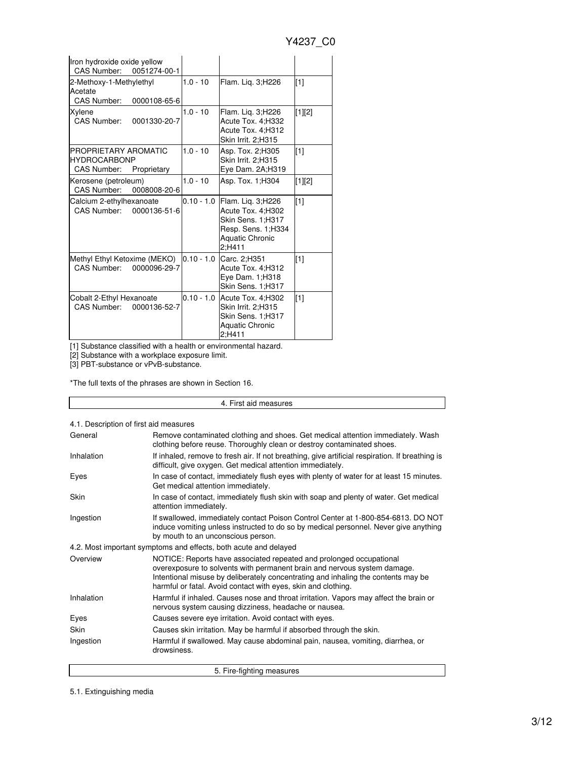| Iron hydroxide oxide yellow<br>CAS Number:<br>0051274-00-1                       |              |                                                                                                                       |                   |
|----------------------------------------------------------------------------------|--------------|-----------------------------------------------------------------------------------------------------------------------|-------------------|
| 2-Methoxy-1-Methylethyl<br>Acetate<br>CAS Number:<br>0000108-65-6                | $1.0 - 10$   | Flam. Lig. 3;H226                                                                                                     | $[1]$             |
| Xylene<br>CAS Number:<br>0001330-20-7                                            | $1.0 - 10$   | Flam. Lig. 3;H226<br>Acute Tox. 4; H332<br>Acute Tox. 4;H312<br>Skin Irrit. 2:H315                                    | [1][2]            |
| PROPRIETARY AROMATIC<br><b>HYDROCARBONP</b><br><b>CAS Number:</b><br>Proprietary | $1.0 - 10$   | Asp. Tox. 2; H305<br>Skin Irrit. 2;H315<br>Eye Dam. 2A;H319                                                           | $[1]$             |
| Kerosene (petroleum)<br>CAS Number:<br>0008008-20-6                              | $1.0 - 10$   | Asp. Tox. 1; H304                                                                                                     | [1][2]            |
| Calcium 2-ethylhexanoate<br>CAS Number:<br>0000136-51-6                          | $0.10 - 1.0$ | Flam. Lig. 3;H226<br>Acute Tox. 4;H302<br>Skin Sens. 1;H317<br>Resp. Sens. 1;H334<br><b>Aquatic Chronic</b><br>2:H411 | $\lceil 1 \rceil$ |
| Methyl Ethyl Ketoxime (MEKO)<br>CAS Number:<br>0000096-29-7                      | $0.10 - 1.0$ | Carc. 2;H351<br>Acute Tox. 4;H312<br>Eye Dam. 1: H318<br>Skin Sens. 1;H317                                            | $[1]$             |
| Cobalt 2-Ethyl Hexanoate<br>CAS Number:<br>0000136-52-7                          |              | 0.10 - 1.0 Acute Tox. 4; H302<br>Skin Irrit. 2:H315<br>Skin Sens. 1;H317<br><b>Aquatic Chronic</b><br>2:H411          | [1]               |

[1] Substance classified with a health or environmental hazard.

[2] Substance with a workplace exposure limit.

[3] PBT-substance or vPvB-substance.

\*The full texts of the phrases are shown in Section 16.

4. First aid measures

4.1. Description of first aid measures

| General     | Remove contaminated clothing and shoes. Get medical attention immediately. Wash<br>clothing before reuse. Thoroughly clean or destroy contaminated shoes.                                                                                                                                             |
|-------------|-------------------------------------------------------------------------------------------------------------------------------------------------------------------------------------------------------------------------------------------------------------------------------------------------------|
| Inhalation  | If inhaled, remove to fresh air. If not breathing, give artificial respiration. If breathing is<br>difficult, give oxygen. Get medical attention immediately.                                                                                                                                         |
| Eyes        | In case of contact, immediately flush eyes with plenty of water for at least 15 minutes.<br>Get medical attention immediately.                                                                                                                                                                        |
| <b>Skin</b> | In case of contact, immediately flush skin with soap and plenty of water. Get medical<br>attention immediately.                                                                                                                                                                                       |
| Ingestion   | If swallowed, immediately contact Poison Control Center at 1-800-854-6813. DO NOT<br>induce vomiting unless instructed to do so by medical personnel. Never give anything<br>by mouth to an unconscious person.                                                                                       |
|             | 4.2. Most important symptoms and effects, both acute and delayed                                                                                                                                                                                                                                      |
| Overview    | NOTICE: Reports have associated repeated and prolonged occupational<br>overexposure to solvents with permanent brain and nervous system damage.<br>Intentional misuse by deliberately concentrating and inhaling the contents may be<br>harmful or fatal. Avoid contact with eyes, skin and clothing. |
| Inhalation  | Harmful if inhaled. Causes nose and throat irritation. Vapors may affect the brain or<br>nervous system causing dizziness, headache or nausea.                                                                                                                                                        |
| Eyes        | Causes severe eye irritation. Avoid contact with eyes.                                                                                                                                                                                                                                                |
| Skin        | Causes skin irritation. May be harmful if absorbed through the skin.                                                                                                                                                                                                                                  |
| Ingestion   | Harmful if swallowed. May cause abdominal pain, nausea, vomiting, diarrhea, or<br>drowsiness.                                                                                                                                                                                                         |
|             | 5. Fire-fighting measures                                                                                                                                                                                                                                                                             |

5.1. Extinguishing media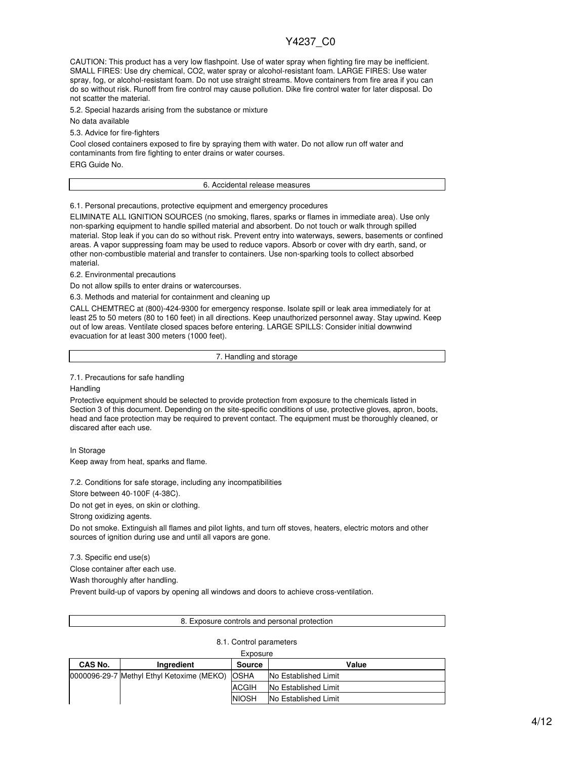CAUTION: This product has a very low flashpoint. Use of water spray when fighting fire may be inefficient. SMALL FIRES: Use dry chemical, CO2, water spray or alcohol-resistant foam. LARGE FIRES: Use water spray, fog, or alcohol-resistant foam. Do not use straight streams. Move containers from fire area if you can do so without risk. Runoff from fire control may cause pollution. Dike fire control water for later disposal. Do not scatter the material.

5.2. Special hazards arising from the substance or mixture

No data available

5.3. Advice for fire-fighters

Cool closed containers exposed to fire by spraying them with water. Do not allow run off water and contaminants from fire fighting to enter drains or water courses.

ERG Guide No.

#### 6. Accidental release measures

6.1. Personal precautions, protective equipment and emergency procedures

ELIMINATE ALL IGNITION SOURCES (no smoking, flares, sparks or flames in immediate area). Use only non-sparking equipment to handle spilled material and absorbent. Do not touch or walk through spilled material. Stop leak if you can do so without risk. Prevent entry into waterways, sewers, basements or confined areas. A vapor suppressing foam may be used to reduce vapors. Absorb or cover with dry earth, sand, or other non-combustible material and transfer to containers. Use non-sparking tools to collect absorbed material.

6.2. Environmental precautions

Do not allow spills to enter drains or watercourses.

6.3. Methods and material for containment and cleaning up

CALL CHEMTREC at (800)-424-9300 for emergency response. Isolate spill or leak area immediately for at least 25 to 50 meters (80 to 160 feet) in all directions. Keep unauthorized personnel away. Stay upwind. Keep out of low areas. Ventilate closed spaces before entering. LARGE SPILLS: Consider initial downwind evacuation for at least 300 meters (1000 feet).

7. Handling and storage

7.1. Precautions for safe handling

Handling

Protective equipment should be selected to provide protection from exposure to the chemicals listed in Section 3 of this document. Depending on the site-specific conditions of use, protective gloves, apron, boots, head and face protection may be required to prevent contact. The equipment must be thoroughly cleaned, or discared after each use.

In Storage Keep away from heat, sparks and flame.

7.2. Conditions for safe storage, including any incompatibilities

Store between 40-100F (4-38C).

Do not get in eyes, on skin or clothing.

Strong oxidizing agents.

Do not smoke. Extinguish all flames and pilot lights, and turn off stoves, heaters, electric motors and other sources of ignition during use and until all vapors are gone.

7.3. Specific end use(s)

Close container after each use.

Wash thoroughly after handling.

Prevent build-up of vapors by opening all windows and doors to achieve cross-ventilation.

#### 8. Exposure controls and personal protection

8.1. Control parameters

| <u> so s. pa.a s</u> |                                           |               |                             |  |
|----------------------|-------------------------------------------|---------------|-----------------------------|--|
| Exposure             |                                           |               |                             |  |
| CAS No.              | Ingredient                                | <b>Source</b> | Value                       |  |
|                      | 0000096-29-7 Methyl Ethyl Ketoxime (MEKO) | <b>OSHA</b>   | <b>No Established Limit</b> |  |
|                      |                                           | <b>ACGIH</b>  | No Established Limit        |  |
|                      |                                           | <b>NIOSH</b>  | No Established Limit        |  |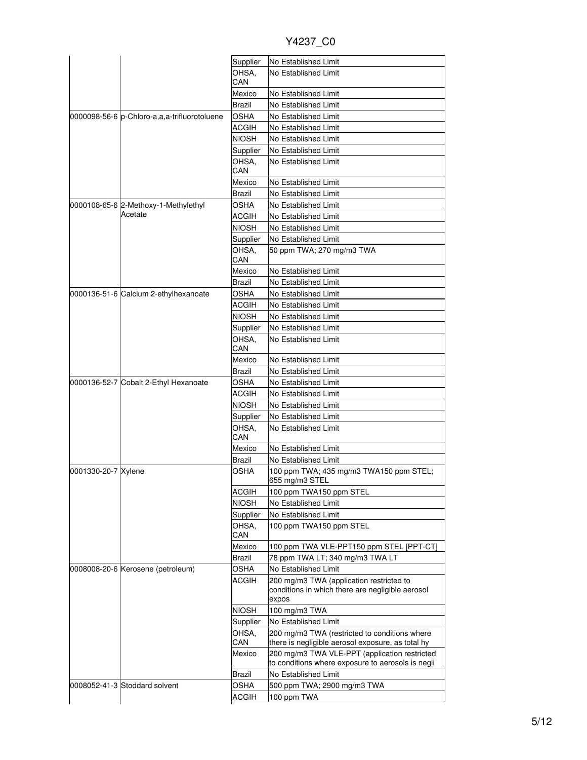|                     |                                              | Supplier     | No Established Limit                                                      |
|---------------------|----------------------------------------------|--------------|---------------------------------------------------------------------------|
|                     |                                              | OHSA.        | No Established Limit                                                      |
|                     |                                              | CAN          |                                                                           |
|                     |                                              | Mexico       | No Established Limit                                                      |
|                     |                                              | Brazil       | No Established Limit                                                      |
|                     | 0000098-56-6 p-Chloro-a,a,a-trifluorotoluene | OSHA         | No Established Limit                                                      |
|                     |                                              | ACGIH        | No Established Limit                                                      |
|                     |                                              | NIOSH        | No Established Limit                                                      |
|                     |                                              | Supplier     | No Established Limit                                                      |
|                     |                                              | OHSA.        | No Established Limit                                                      |
|                     |                                              | CAN          |                                                                           |
|                     |                                              | Mexico       | No Established Limit                                                      |
|                     |                                              | Brazil       | No Established Limit                                                      |
|                     | 0000108-65-6 2-Methoxy-1-Methylethyl         | OSHA         | No Established Limit                                                      |
|                     | Acetate                                      | ACGIH        | No Established Limit                                                      |
|                     |                                              | NIOSH        | No Established Limit                                                      |
|                     |                                              | Supplier     | No Established Limit                                                      |
|                     |                                              | OHSA.        | 50 ppm TWA; 270 mg/m3 TWA                                                 |
|                     |                                              | CAN          |                                                                           |
|                     |                                              | Mexico       | No Established Limit                                                      |
|                     |                                              | Brazil       | No Established Limit                                                      |
|                     | 0000136-51-6 Calcium 2-ethylhexanoate        | OSHA         | No Established Limit                                                      |
|                     |                                              | ACGIH        | No Established Limit                                                      |
|                     |                                              | NIOSH        | No Established Limit                                                      |
|                     |                                              | Supplier     | No Established Limit                                                      |
|                     |                                              | OHSA,        | No Established Limit                                                      |
|                     |                                              | CAN          |                                                                           |
|                     |                                              | Mexico       | No Established Limit                                                      |
|                     |                                              | Brazil       | No Established Limit                                                      |
|                     | 0000136-52-7 Cobalt 2-Ethyl Hexanoate        | OSHA         | No Established Limit                                                      |
|                     |                                              | ACGIH        | No Established Limit                                                      |
|                     |                                              | NIOSH        | No Established Limit                                                      |
|                     |                                              | Supplier     | <b>No Established Limit</b>                                               |
|                     |                                              | OHSA.        | No Established Limit                                                      |
|                     |                                              | CAN          |                                                                           |
|                     |                                              | Mexico       | No Established Limit                                                      |
|                     |                                              | Brazil       | No Established Limit                                                      |
| 0001330-20-7 Xylene |                                              | OSHA         | 100 ppm TWA; 435 mg/m3 TWA150 ppm STEL;<br>655 mg/m3 STEL                 |
|                     |                                              | <b>ACGIH</b> | 100 ppm TWA150 ppm STEL                                                   |
|                     |                                              | <b>NIOSH</b> | No Established Limit                                                      |
|                     |                                              | Supplier     | No Established Limit                                                      |
|                     |                                              | OHSA.        | 100 ppm TWA150 ppm STEL                                                   |
|                     |                                              | CAN          |                                                                           |
|                     |                                              | Mexico       | 100 ppm TWA VLE-PPT150 ppm STEL [PPT-CT]                                  |
|                     |                                              | Brazil       | 78 ppm TWA LT; 340 mg/m3 TWA LT                                           |
|                     | 0008008-20-6 Kerosene (petroleum)            | OSHA         | No Established Limit                                                      |
|                     |                                              | ACGIH        | 200 mg/m3 TWA (application restricted to                                  |
|                     |                                              |              | conditions in which there are negligible aerosol                          |
|                     |                                              |              | expos                                                                     |
|                     |                                              | <b>NIOSH</b> | 100 mg/m3 TWA                                                             |
|                     |                                              | Supplier     | No Established Limit                                                      |
|                     |                                              | OHSA,        | 200 mg/m3 TWA (restricted to conditions where                             |
|                     |                                              | CAN          | there is negligible aerosol exposure, as total hy                         |
|                     |                                              | Mexico       | 200 mg/m3 TWA VLE-PPT (application restricted                             |
|                     |                                              |              | to conditions where exposure to aerosols is negli<br>No Established Limit |
|                     |                                              | Brazil       |                                                                           |
|                     | 0008052-41-3 Stoddard solvent                | OSHA         | 500 ppm TWA; 2900 mg/m3 TWA                                               |
|                     |                                              | ACGIH        | 100 ppm TWA                                                               |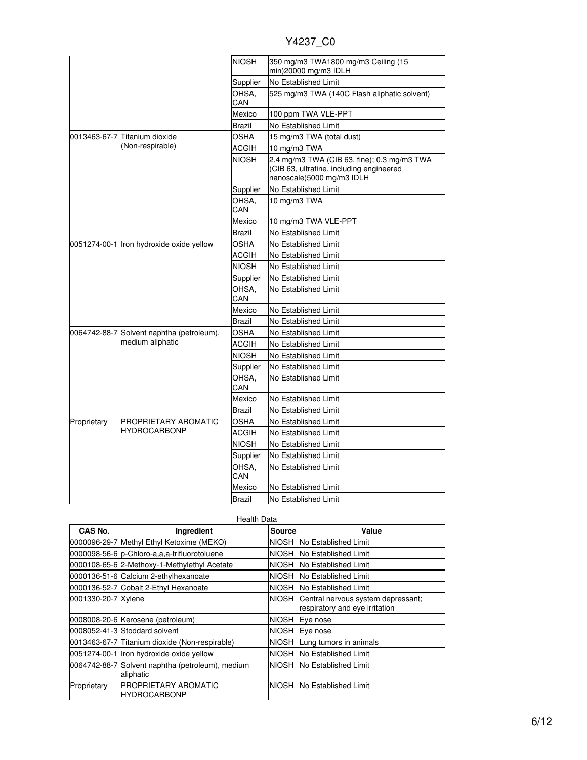| Y4237 | C0 |
|-------|----|
|       |    |

|             |                                           | <b>NIOSH</b> | 350 mg/m3 TWA1800 mg/m3 Ceiling (15                                                                                  |
|-------------|-------------------------------------------|--------------|----------------------------------------------------------------------------------------------------------------------|
|             |                                           | Supplier     | min)20000 mg/m3 IDLH<br>No Established Limit                                                                         |
|             |                                           | OHSA,        | 525 mg/m3 TWA (140C Flash aliphatic solvent)                                                                         |
|             |                                           | CAN          |                                                                                                                      |
|             |                                           | Mexico       | 100 ppm TWA VLE-PPT                                                                                                  |
|             |                                           | Brazil       | No Established Limit                                                                                                 |
|             | l0013463-67-7 lTitanium dioxide           | OSHA         | 15 mg/m3 TWA (total dust)                                                                                            |
|             | (Non-respirable)                          | ACGIH        | 10 mg/m3 TWA                                                                                                         |
|             |                                           | NIOSH        | 2.4 mg/m3 TWA (CIB 63, fine); 0.3 mg/m3 TWA<br>(CIB 63, ultrafine, including engineered<br>nanoscale)5000 mg/m3 IDLH |
|             |                                           | Supplier     | No Established Limit                                                                                                 |
|             |                                           | OHSA.<br>CAN | 10 mg/m3 TWA                                                                                                         |
|             |                                           | Mexico       | 10 mg/m3 TWA VLE-PPT                                                                                                 |
|             |                                           | Brazil       | No Established Limit                                                                                                 |
|             | 0051274-00-1 Iron hydroxide oxide yellow  | OSHA         | No Established Limit                                                                                                 |
|             |                                           | ACGIH        | No Established Limit                                                                                                 |
|             |                                           | NIOSH        | No Established Limit                                                                                                 |
|             |                                           | Supplier     | No Established Limit                                                                                                 |
|             |                                           | OHSA.<br>CAN | No Established Limit                                                                                                 |
|             |                                           | Mexico       | No Established Limit                                                                                                 |
|             |                                           | Brazil       | No Established Limit                                                                                                 |
|             | 0064742-88-7 Solvent naphtha (petroleum), | OSHA         | No Established Limit                                                                                                 |
|             | medium aliphatic                          | ACGIH        | No Established Limit                                                                                                 |
|             |                                           | NIOSH        | No Established Limit                                                                                                 |
|             |                                           | Supplier     | No Established Limit                                                                                                 |
|             |                                           | OHSA.<br>CAN | No Established Limit                                                                                                 |
|             |                                           | Mexico       | No Established Limit                                                                                                 |
|             |                                           | Brazil       | No Established Limit                                                                                                 |
| Proprietary | PROPRIETARY AROMATIC                      | OSHA         | No Established Limit                                                                                                 |
|             | <b>HYDROCARBONP</b>                       | ACGIH        | No Established Limit                                                                                                 |
|             |                                           | NIOSH        | No Established Limit                                                                                                 |
|             |                                           | Supplier     | No Established Limit                                                                                                 |
|             |                                           | OHSA.<br>CAN | No Established Limit                                                                                                 |
|             |                                           | Mexico       | No Established Limit                                                                                                 |
|             |                                           | Brazil       | No Established Limit                                                                                                 |

| <b>Health Data</b>  |                                                               |              |                                                                            |
|---------------------|---------------------------------------------------------------|--------------|----------------------------------------------------------------------------|
| CAS No.             | Ingredient                                                    | Source       | Value                                                                      |
|                     | 0000096-29-7 Methyl Ethyl Ketoxime (MEKO)                     |              | NIOSH No Established Limit                                                 |
|                     | 0000098-56-6 p-Chloro-a,a,a-trifluorotoluene                  |              | INIOSH INo Established Limit                                               |
|                     | 0000108-65-6 2-Methoxy-1-Methylethyl Acetate                  | NIOSH        | <b>No Established Limit</b>                                                |
|                     | 0000136-51-6 Calcium 2-ethylhexanoate                         |              | NIOSH No Established Limit                                                 |
|                     | 0000136-52-7 Cobalt 2-Ethyl Hexanoate                         |              | NIOSH No Established Limit                                                 |
| 0001330-20-7 Xylene |                                                               |              | NIOSH Central nervous system depressant;<br>respiratory and eye irritation |
|                     | 0008008-20-6 Kerosene (petroleum)                             | NIOSH        | Eye nose                                                                   |
|                     | 0008052-41-3 Stoddard solvent                                 |              | NIOSH Eye nose                                                             |
|                     | 0013463-67-7 Titanium dioxide (Non-respirable)                |              | NIOSH Lung tumors in animals                                               |
|                     | 0051274-00-1 Iron hydroxide oxide yellow                      | <b>NIOSH</b> | <b>No Established Limit</b>                                                |
|                     | 0064742-88-7 Solvent naphtha (petroleum), medium<br>aliphatic |              | NIOSH No Established Limit                                                 |
| Proprietary         | PROPRIETARY AROMATIC<br><b>HYDROCARBONP</b>                   |              | <b>NIOSH No Established Limit</b>                                          |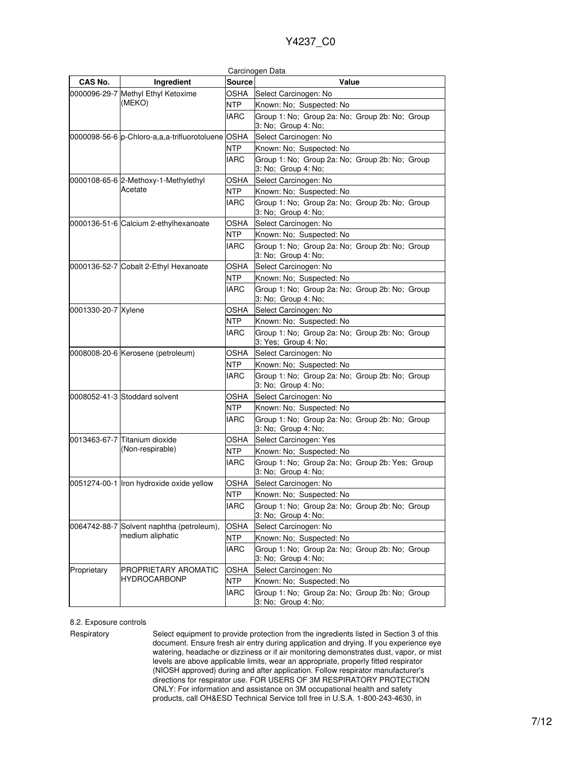|                     |                                                   |               | Carcinogen Data                                                        |
|---------------------|---------------------------------------------------|---------------|------------------------------------------------------------------------|
| CAS No.             | Ingredient                                        | <b>Source</b> | Value                                                                  |
|                     | 0000096-29-7 Methyl Ethyl Ketoxime<br>(MEKO)      | OSHA          | Select Carcinogen: No                                                  |
|                     |                                                   | <b>NTP</b>    | Known: No; Suspected: No                                               |
|                     |                                                   | IARC          | Group 1: No; Group 2a: No; Group 2b: No; Group<br>3: No; Group 4: No;  |
|                     | 0000098-56-6 p-Chloro-a,a,a-trifluorotoluene OSHA |               | Select Carcinogen: No                                                  |
|                     |                                                   | <b>NTP</b>    | Known: No; Suspected: No                                               |
|                     |                                                   | <b>IARC</b>   | Group 1: No; Group 2a: No; Group 2b: No; Group<br>3: No; Group 4: No;  |
|                     | 0000108-65-6 2-Methoxy-1-Methylethyl              | OSHA          | Select Carcinogen: No                                                  |
|                     | Acetate                                           | <b>NTP</b>    | Known: No; Suspected: No                                               |
|                     |                                                   | <b>IARC</b>   | Group 1: No; Group 2a: No; Group 2b: No; Group<br>3: No; Group 4: No;  |
|                     | 0000136-51-6 Calcium 2-ethylhexanoate             | <b>OSHA</b>   | Select Carcinogen: No                                                  |
|                     |                                                   | <b>NTP</b>    | Known: No; Suspected: No                                               |
|                     |                                                   | <b>IARC</b>   | Group 1: No; Group 2a: No; Group 2b: No; Group<br>3: No; Group 4: No;  |
|                     | 0000136-52-7 Cobalt 2-Ethyl Hexanoate             | OSHA          | Select Carcinogen: No                                                  |
|                     |                                                   | <b>NTP</b>    | Known: No; Suspected: No                                               |
|                     |                                                   | <b>IARC</b>   | Group 1: No; Group 2a: No; Group 2b: No; Group<br>3: No; Group 4: No;  |
| 0001330-20-7 Xylene |                                                   | OSHA          | Select Carcinogen: No                                                  |
|                     |                                                   | <b>NTP</b>    | Known: No; Suspected: No                                               |
|                     |                                                   | <b>IARC</b>   | Group 1: No; Group 2a: No; Group 2b: No; Group<br>3: Yes; Group 4: No; |
|                     | 0008008-20-6 Kerosene (petroleum)                 | OSHA          | Select Carcinogen: No                                                  |
|                     |                                                   | <b>NTP</b>    | Known: No; Suspected: No                                               |
|                     |                                                   | <b>IARC</b>   | Group 1: No; Group 2a: No; Group 2b: No; Group<br>3: No; Group 4: No;  |
|                     | 0008052-41-3 Stoddard solvent                     | OSHA          | Select Carcinogen: No                                                  |
|                     |                                                   | <b>NTP</b>    | Known: No; Suspected: No                                               |
|                     |                                                   | IARC          | Group 1: No; Group 2a: No; Group 2b: No; Group<br>3: No; Group 4: No;  |
|                     | 0013463-67-7 Titanium dioxide<br>(Non-respirable) | OSHA          | Select Carcinogen: Yes                                                 |
|                     |                                                   | <b>NTP</b>    | Known: No; Suspected: No                                               |
|                     |                                                   | <b>IARC</b>   | Group 1: No; Group 2a: No; Group 2b: Yes; Group<br>3: No; Group 4: No; |
|                     | 0051274-00-1 Iron hydroxide oxide yellow          | OSHA          | Select Carcinogen: No                                                  |
|                     |                                                   | <b>NTP</b>    | Known: No: Suspected: No                                               |
|                     |                                                   | <b>IARC</b>   | Group 1: No; Group 2a: No; Group 2b: No; Group<br>3: No; Group 4: No;  |
|                     | 0064742-88-7 Solvent naphtha (petroleum),         | <b>OSHA</b>   | Select Carcinogen: No                                                  |
|                     | medium aliphatic                                  | <b>NTP</b>    | Known: No; Suspected: No                                               |
|                     |                                                   | <b>IARC</b>   | Group 1: No; Group 2a: No; Group 2b: No; Group<br>3: No; Group 4: No;  |
| Proprietary         | PROPRIETARY AROMATIC                              | <b>OSHA</b>   | Select Carcinogen: No                                                  |
|                     | HYDROCARBONP                                      | <b>NTP</b>    | Known: No; Suspected: No                                               |
|                     |                                                   | <b>IARC</b>   | Group 1: No; Group 2a: No; Group 2b: No; Group<br>3: No; Group 4: No;  |

### 8.2. Exposure controls

Respiratory Select equipment to provide protection from the ingredients listed in Section 3 of this document. Ensure fresh air entry during application and drying. If you experience eye watering, headache or dizziness or if air monitoring demonstrates dust, vapor, or mist levels are above applicable limits, wear an appropriate, properly fitted respirator (NIOSH approved) during and after application. Follow respirator manufacturer's directions for respirator use. FOR USERS OF 3M RESPIRATORY PROTECTION ONLY: For information and assistance on 3M occupational health and safety products, call OH&ESD Technical Service toll free in U.S.A. 1-800-243-4630, in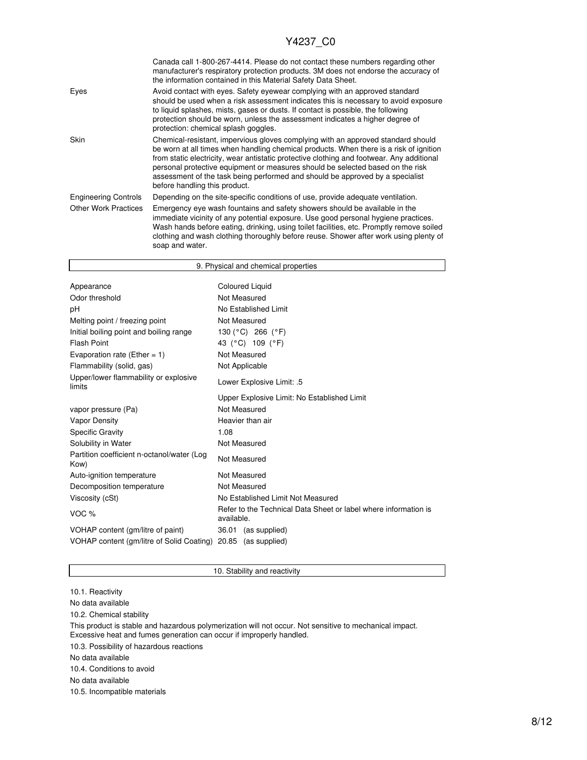٦

|                             | Canada call 1-800-267-4414. Please do not contact these numbers regarding other<br>manufacturer's respiratory protection products. 3M does not endorse the accuracy of<br>the information contained in this Material Safety Data Sheet.                                                                                                                                                                                                                                     |
|-----------------------------|-----------------------------------------------------------------------------------------------------------------------------------------------------------------------------------------------------------------------------------------------------------------------------------------------------------------------------------------------------------------------------------------------------------------------------------------------------------------------------|
| Eyes                        | Avoid contact with eyes. Safety eyewear complying with an approved standard<br>should be used when a risk assessment indicates this is necessary to avoid exposure<br>to liquid splashes, mists, gases or dusts. If contact is possible, the following<br>protection should be worn, unless the assessment indicates a higher degree of<br>protection: chemical splash goggles.                                                                                             |
| Skin                        | Chemical-resistant, impervious gloves complying with an approved standard should<br>be worn at all times when handling chemical products. When there is a risk of ignition<br>from static electricity, wear antistatic protective clothing and footwear. Any additional<br>personal protective equipment or measures should be selected based on the risk<br>assessment of the task being performed and should be approved by a specialist<br>before handling this product. |
| <b>Engineering Controls</b> | Depending on the site-specific conditions of use, provide adequate ventilation.                                                                                                                                                                                                                                                                                                                                                                                             |
| <b>Other Work Practices</b> | Emergency eye wash fountains and safety showers should be available in the<br>immediate vicinity of any potential exposure. Use good personal hygiene practices.<br>Wash hands before eating, drinking, using toilet facilities, etc. Promptly remove soiled<br>clothing and wash clothing thoroughly before reuse. Shower after work using plenty of<br>soap and water.                                                                                                    |

| 9. Physical and chemical properties                |                                                                               |  |  |
|----------------------------------------------------|-------------------------------------------------------------------------------|--|--|
|                                                    |                                                                               |  |  |
| Appearance                                         | <b>Coloured Liquid</b>                                                        |  |  |
| Odor threshold                                     | Not Measured                                                                  |  |  |
| рH                                                 | No Established Limit                                                          |  |  |
| Melting point / freezing point                     | Not Measured                                                                  |  |  |
| Initial boiling point and boiling range            | 130 (°C) 266 (°F)                                                             |  |  |
| Flash Point                                        | 43 (°C) 109 (°F)                                                              |  |  |
| Evaporation rate (Ether = $1$ )                    | Not Measured                                                                  |  |  |
| Flammability (solid, gas)                          | Not Applicable                                                                |  |  |
| Upper/lower flammability or explosive<br>limits    | 5. :Lower Explosive Limit                                                     |  |  |
|                                                    | Upper Explosive Limit: No Established Limit                                   |  |  |
| vapor pressure (Pa)                                | Not Measured                                                                  |  |  |
| Vapor Density                                      | Heavier than air                                                              |  |  |
| <b>Specific Gravity</b>                            | 1.08                                                                          |  |  |
| Solubility in Water                                | Not Measured                                                                  |  |  |
| Partition coefficient n-octanol/water (Log<br>Kow) | Not Measured                                                                  |  |  |
| Auto-ignition temperature                          | Not Measured                                                                  |  |  |
| Decomposition temperature                          | Not Measured                                                                  |  |  |
| Viscosity (cSt)                                    | No Established Limit Not Measured                                             |  |  |
| VOC <sub>%</sub>                                   | Refer to the Technical Data Sheet or label where information is<br>available. |  |  |
| VOHAP content (gm/litre of paint)                  | 36.01<br>(as supplied)                                                        |  |  |
| VOHAP content (gm/litre of Solid Coating)          | 20.85 (as supplied)                                                           |  |  |

10. Stability and reactivity

10.1. Reactivity No data available 10.2. Chemical stability This product is stable and hazardous polymerization will not occur. Not sensitive to mechanical impact. Excessive heat and fumes generation can occur if improperly handled. 10.3. Possibility of hazardous reactions No data available 10.4. Conditions to avoid No data available

10.5. Incompatible materials

Г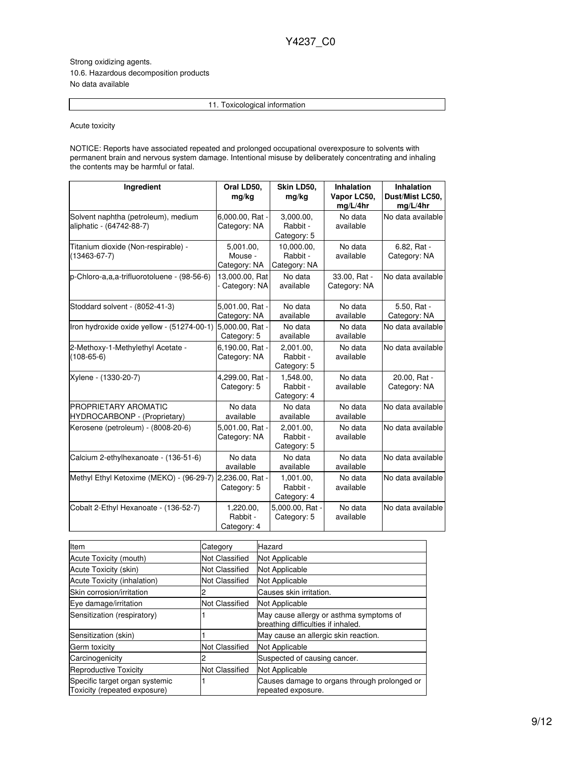Strong oxidizing agents. 10.6. Hazardous decomposition products No data available

11. Toxicological information

Acute toxicity

NOTICE: Reports have associated repeated and prolonged occupational overexposure to solvents with permanent brain and nervous system damage. Intentional misuse by deliberately concentrating and inhaling the contents may be harmful or fatal.

| Ingredient                                                      | Oral LD50,<br>mg/kg                  | Skin LD50,<br>mg/kg                    | <b>Inhalation</b><br>Vapor LC50,<br>mg/L/4hr | <b>Inhalation</b><br>Dust/Mist LC50,<br>mg/L/4hr |
|-----------------------------------------------------------------|--------------------------------------|----------------------------------------|----------------------------------------------|--------------------------------------------------|
| Solvent naphtha (petroleum), medium<br>aliphatic - (64742-88-7) | 6,000.00, Rat -<br>Category: NA      | 3,000.00,<br>Rabbit -<br>Category: 5   | No data<br>available                         | No data available                                |
| Titanium dioxide (Non-respirable) -<br>$(13463 - 67 - 7)$       | 5,001.00,<br>Mouse -<br>Category: NA | 10.000.00.<br>Rabbit -<br>Category: NA | No data<br>available                         | 6.82, Rat -<br>Category: NA                      |
| p-Chloro-a,a,a-trifluorotoluene - (98-56-6)                     | 13,000.00, Rat<br>- Category: NA     | No data<br>available                   | 33.00, Rat -<br>Category: NA                 | No data available                                |
| Stoddard solvent - (8052-41-3)                                  | 5,001.00, Rat -<br>Category: NA      | No data<br>available                   | No data<br>available                         | 5.50, Rat -<br>Category: NA                      |
| Iron hydroxide oxide yellow - (51274-00-1)                      | 5,000.00, Rat -<br>Category: 5       | No data<br>available                   | No data<br>available                         | No data available                                |
| 2-Methoxy-1-Methylethyl Acetate -<br>$(108-65-6)$               | 6,190.00, Rat -<br>Category: NA      | 2,001.00,<br>Rabbit -<br>Category: 5   | No data<br>available                         | No data available                                |
| Xylene - (1330-20-7)                                            | 4,299.00, Rat -<br>Category: 5       | 1,548.00,<br>Rabbit -<br>Category: 4   | No data<br>available                         | 20.00, Rat -<br>Category: NA                     |
| PROPRIETARY AROMATIC<br>HYDROCARBONP - (Proprietary)            | No data<br>available                 | No data<br>available                   | No data<br>available                         | No data available                                |
| Kerosene (petroleum) - (8008-20-6)                              | 5,001.00, Rat -<br>Category: NA      | 2,001.00,<br>Rabbit -<br>Category: 5   | No data<br>available                         | No data available                                |
| Calcium 2-ethylhexanoate - (136-51-6)                           | No data<br>available                 | No data<br>available                   | No data<br>available                         | No data available                                |
| Methyl Ethyl Ketoxime (MEKO) - (96-29-7)                        | 2,236.00, Rat -<br>Category: 5       | 1,001.00,<br>Rabbit -<br>Category: 4   | No data<br>available                         | No data available                                |
| Cobalt 2-Ethyl Hexanoate - (136-52-7)                           | 1,220.00,<br>Rabbit -<br>Category: 4 | 5.000.00. Rat -<br>Category: 5         | No data<br>available                         | No data available                                |

| Item                                                           | Category              | Hazard                                                                        |
|----------------------------------------------------------------|-----------------------|-------------------------------------------------------------------------------|
| Acute Toxicity (mouth)                                         | Not Classified        | Not Applicable                                                                |
| Acute Toxicity (skin)                                          | <b>Not Classified</b> | Not Applicable                                                                |
| Acute Toxicity (inhalation)                                    | Not Classified        | Not Applicable                                                                |
| <b>ISkin corrosion/irritation</b>                              |                       | Causes skin irritation.                                                       |
| Eye damage/irritation                                          | <b>Not Classified</b> | Not Applicable                                                                |
| Sensitization (respiratory)                                    |                       | May cause allergy or asthma symptoms of<br>breathing difficulties if inhaled. |
| Sensitization (skin)                                           |                       | May cause an allergic skin reaction.                                          |
| Germ toxicity                                                  | <b>Not Classified</b> | Not Applicable                                                                |
| Carcinogenicity                                                |                       | Suspected of causing cancer.                                                  |
| Reproductive Toxicity                                          | <b>Not Classified</b> | Not Applicable                                                                |
| Specific target organ systemic<br>Toxicity (repeated exposure) |                       | Causes damage to organs through prolonged or<br>repeated exposure.            |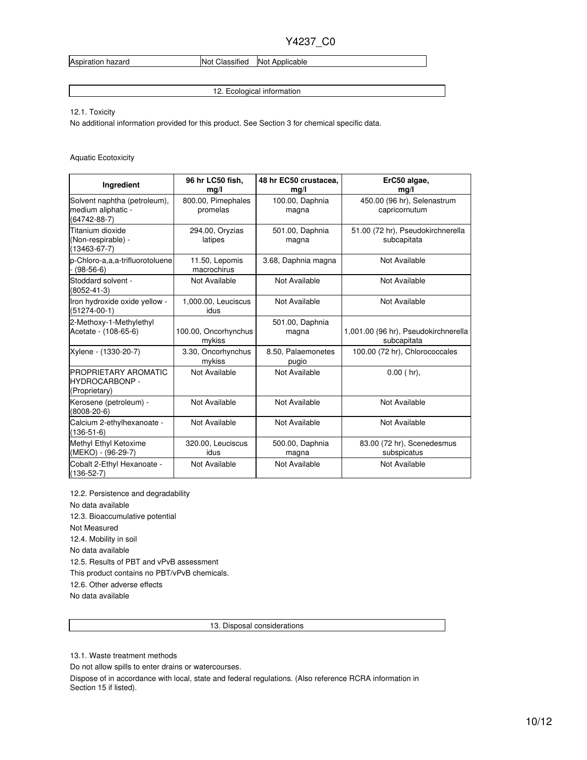Aspiration hazard **Not Classified** Not Applicable

12. Ecological information

12.1. Toxicity

No additional information provided for this product. See Section 3 for chemical specific data.

Aquatic Ecotoxicity

| Ingredient                                                               | 96 hr LC50 fish,<br>mg/l       | 48 hr EC50 crustacea,<br>mg/l | ErC50 algae,<br>mg/l                                |
|--------------------------------------------------------------------------|--------------------------------|-------------------------------|-----------------------------------------------------|
| Solvent naphtha (petroleum),<br>medium aliphatic -<br>$(64742 - 88 - 7)$ | 800.00, Pimephales<br>promelas | 100.00, Daphnia<br>magna      | 450.00 (96 hr), Selenastrum<br>capricornutum        |
| Titanium dioxide<br>(Non-respirable) -<br>$(13463 - 67 - 7)$             | 294.00, Oryzias<br>latipes     | 501.00, Daphnia<br>magna      | 51.00 (72 hr), Pseudokirchnerella<br>subcapitata    |
| p-Chloro-a,a,a-trifluorotoluene<br>$(98-56-6)$                           | 11.50, Lepomis<br>macrochirus  | 3.68, Daphnia magna           | Not Available                                       |
| Stoddard solvent -<br>$(8052 - 41 - 3)$                                  | Not Available                  | Not Available                 | Not Available                                       |
| Iron hydroxide oxide yellow -<br>$(51274 - 00 - 1)$                      | 1,000.00, Leuciscus<br>idus    | Not Available                 | Not Available                                       |
| 2-Methoxy-1-Methylethyl<br>Acetate - (108-65-6)                          | 100.00, Oncorhynchus<br>mykiss | 501.00, Daphnia<br>magna      | 1,001.00 (96 hr), Pseudokirchnerella<br>subcapitata |
| Xylene - (1330-20-7)                                                     | 3.30, Oncorhynchus<br>mykiss   | 8.50, Palaemonetes<br>pugio   | 100.00 (72 hr), Chlorococcales                      |
| <b>IPROPRIETARY AROMATIC</b><br><b>HYDROCARBONP -</b><br>(Proprietary)   | Not Available                  | Not Available                 | $0.00$ (hr),                                        |
| Kerosene (petroleum) -<br>$(8008 - 20 - 6)$                              | Not Available                  | Not Available                 | Not Available                                       |
| Calcium 2-ethylhexanoate -<br>$(136-51-6)$                               | Not Available                  | Not Available                 | Not Available                                       |
| Methyl Ethyl Ketoxime<br>(MEKO) - (96-29-7)                              | 320.00, Leuciscus<br>idus      | 500.00, Daphnia<br>magna      | 83.00 (72 hr), Scenedesmus<br>subspicatus           |
| Cobalt 2-Ethyl Hexanoate -<br>$(136-52-7)$                               | Not Available                  | Not Available                 | Not Available                                       |

12.2. Persistence and degradability

No data available

12.3. Bioaccumulative potential

Not Measured

12.4. Mobility in soil

No data available

12.5. Results of PBT and vPvB assessment

This product contains no PBT/vPvB chemicals.

12.6. Other adverse effects

No data available

13. Disposal considerations

13.1. Waste treatment methods

Do not allow spills to enter drains or watercourses.

Dispose of in accordance with local, state and federal regulations. (Also reference RCRA information in Section 15 if listed).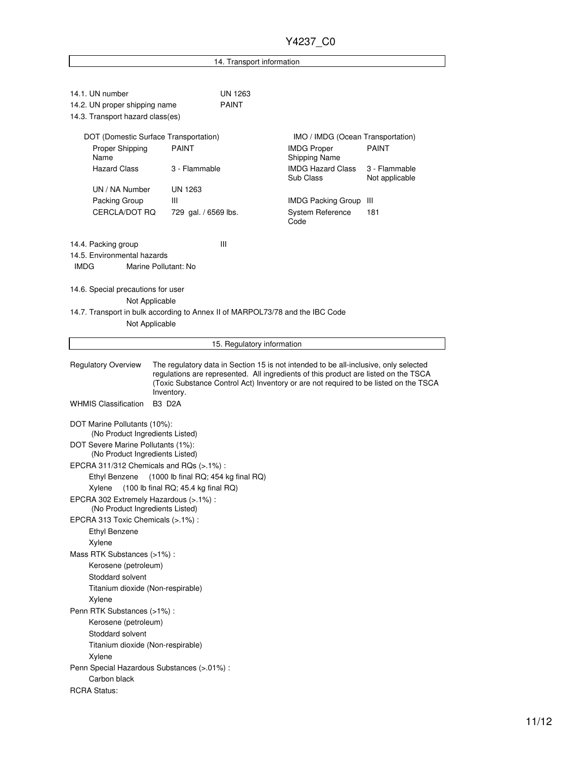14. Transport information

| 14.1. UN number                                                               |                                       | <b>UN 1263</b>             |                                                                                      |                                 |  |  |  |
|-------------------------------------------------------------------------------|---------------------------------------|----------------------------|--------------------------------------------------------------------------------------|---------------------------------|--|--|--|
| 14.2. UN proper shipping name                                                 |                                       | <b>PAINT</b>               |                                                                                      |                                 |  |  |  |
| 14.3. Transport hazard class(es)                                              |                                       |                            |                                                                                      |                                 |  |  |  |
| DOT (Domestic Surface Transportation)                                         |                                       |                            | IMO / IMDG (Ocean Transportation)                                                    |                                 |  |  |  |
| Proper Shipping                                                               | <b>PAINT</b>                          |                            | <b>IMDG Proper</b>                                                                   | <b>PAINT</b>                    |  |  |  |
| Name                                                                          |                                       |                            | Shipping Name                                                                        |                                 |  |  |  |
| <b>Hazard Class</b>                                                           | 3 - Flammable                         |                            | <b>IMDG Hazard Class</b><br>Sub Class                                                | 3 - Flammable<br>Not applicable |  |  |  |
| UN / NA Number                                                                | UN 1263                               |                            |                                                                                      |                                 |  |  |  |
| Packing Group                                                                 | Ш                                     |                            | <b>IMDG Packing Group</b>                                                            | Ш                               |  |  |  |
| CERCLA/DOT RQ                                                                 | 729 gal. / 6569 lbs.                  |                            | <b>System Reference</b>                                                              | 181                             |  |  |  |
|                                                                               |                                       |                            | Code                                                                                 |                                 |  |  |  |
| 14.4. Packing group                                                           | Ш                                     |                            |                                                                                      |                                 |  |  |  |
| 14.5. Environmental hazards                                                   |                                       |                            |                                                                                      |                                 |  |  |  |
| <b>IMDG</b><br>Marine Pollutant: No                                           |                                       |                            |                                                                                      |                                 |  |  |  |
|                                                                               |                                       |                            |                                                                                      |                                 |  |  |  |
| 14.6. Special precautions for user                                            |                                       |                            |                                                                                      |                                 |  |  |  |
| Not Applicable                                                                |                                       |                            |                                                                                      |                                 |  |  |  |
| 14.7. Transport in bulk according to Annex II of MARPOL73/78 and the IBC Code |                                       |                            |                                                                                      |                                 |  |  |  |
| Not Applicable                                                                |                                       |                            |                                                                                      |                                 |  |  |  |
|                                                                               |                                       | 15. Regulatory information |                                                                                      |                                 |  |  |  |
|                                                                               |                                       |                            |                                                                                      |                                 |  |  |  |
| <b>Regulatory Overview</b>                                                    |                                       |                            | The regulatory data in Section 15 is not intended to be all-inclusive, only selected |                                 |  |  |  |
|                                                                               |                                       |                            | regulations are represented. All ingredients of this product are listed on the TSCA  |                                 |  |  |  |
|                                                                               | Inventory.                            |                            | (Toxic Substance Control Act) Inventory or are not required to be listed on the TSCA |                                 |  |  |  |
| <b>WHMIS Classification</b>                                                   | <b>B3 D2A</b>                         |                            |                                                                                      |                                 |  |  |  |
|                                                                               |                                       |                            |                                                                                      |                                 |  |  |  |
| DOT Marine Pollutants (10%):<br>(No Product Ingredients Listed)               |                                       |                            |                                                                                      |                                 |  |  |  |
| DOT Severe Marine Pollutants (1%):                                            |                                       |                            |                                                                                      |                                 |  |  |  |
| (No Product Ingredients Listed)                                               |                                       |                            |                                                                                      |                                 |  |  |  |
| EPCRA 311/312 Chemicals and RQs (>.1%):                                       |                                       |                            |                                                                                      |                                 |  |  |  |
| Ethyl Benzene                                                                 | $(1000$ lb final RQ; 454 kg final RQ) |                            |                                                                                      |                                 |  |  |  |
| Xylene                                                                        | $(100$ lb final RQ; 45.4 kg final RQ) |                            |                                                                                      |                                 |  |  |  |
| EPCRA 302 Extremely Hazardous (>.1%) :<br>(No Product Ingredients Listed)     |                                       |                            |                                                                                      |                                 |  |  |  |
|                                                                               |                                       |                            | EPCRA 313 Toxic Chemicals (>.1%) :                                                   |                                 |  |  |  |
|                                                                               |                                       |                            |                                                                                      |                                 |  |  |  |
| <b>Ethyl Benzene</b>                                                          |                                       |                            |                                                                                      |                                 |  |  |  |
| Xylene                                                                        |                                       |                            |                                                                                      |                                 |  |  |  |
| Mass RTK Substances (>1%):                                                    |                                       |                            |                                                                                      |                                 |  |  |  |
| Kerosene (petroleum)                                                          |                                       |                            |                                                                                      |                                 |  |  |  |
| Stoddard solvent                                                              |                                       |                            |                                                                                      |                                 |  |  |  |
| Titanium dioxide (Non-respirable)                                             |                                       |                            |                                                                                      |                                 |  |  |  |
| Xylene                                                                        |                                       |                            |                                                                                      |                                 |  |  |  |
| Penn RTK Substances (>1%):                                                    |                                       |                            |                                                                                      |                                 |  |  |  |
| Kerosene (petroleum)                                                          |                                       |                            |                                                                                      |                                 |  |  |  |
| Stoddard solvent                                                              |                                       |                            |                                                                                      |                                 |  |  |  |
| Titanium dioxide (Non-respirable)                                             |                                       |                            |                                                                                      |                                 |  |  |  |
| Xylene                                                                        |                                       |                            |                                                                                      |                                 |  |  |  |
| Penn Special Hazardous Substances (>.01%) :<br>Carbon black                   |                                       |                            |                                                                                      |                                 |  |  |  |